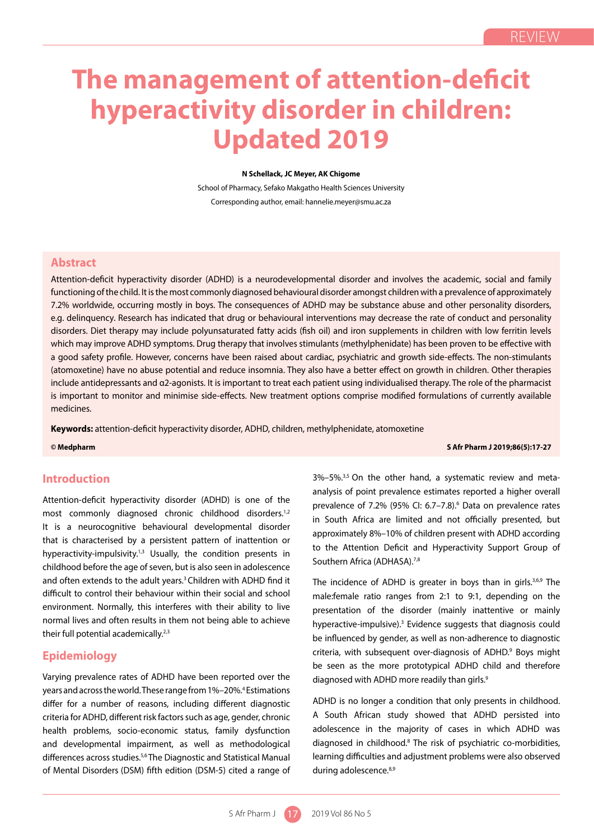# **The management of attention-deficit hyperactivity disorder in children: Updated 2019**

#### **N Schellack, JC Meyer, AK Chigome**

School of Pharmacy, Sefako Makgatho Health Sciences University Corresponding author, email: hannelie.meyer@smu.ac.za

## **Abstract**

Attention-deficit hyperactivity disorder (ADHD) is a neurodevelopmental disorder and involves the academic, social and family functioning of the child. It is the most commonly diagnosed behavioural disorder amongst children with a prevalence of approximately 7.2% worldwide, occurring mostly in boys. The consequences of ADHD may be substance abuse and other personality disorders, e.g. delinquency. Research has indicated that drug or behavioural interventions may decrease the rate of conduct and personality disorders. Diet therapy may include polyunsaturated fatty acids (fish oil) and iron supplements in children with low ferritin levels which may improve ADHD symptoms. Drug therapy that involves stimulants (methylphenidate) has been proven to be effective with a good safety profile. However, concerns have been raised about cardiac, psychiatric and growth side-effects. The non-stimulants (atomoxetine) have no abuse potential and reduce insomnia. They also have a better effect on growth in children. Other therapies include antidepressants and α2-agonists. It is important to treat each patient using individualised therapy. The role of the pharmacist is important to monitor and minimise side-effects. New treatment options comprise modified formulations of currently available medicines.

**Keywords:** attention-deficit hyperactivity disorder, ADHD, children, methylphenidate, atomoxetine

**© Medpharm S Afr Pharm J 2019;86(5):17-27**

## **Introduction**

Attention-deficit hyperactivity disorder (ADHD) is one of the most commonly diagnosed chronic childhood disorders.<sup>1,2</sup> It is a neurocognitive behavioural developmental disorder that is characterised by a persistent pattern of inattention or hyperactivity-impulsivity.<sup>1,3</sup> Usually, the condition presents in childhood before the age of seven, but is also seen in adolescence and often extends to the adult years.<sup>3</sup> Children with ADHD find it difficult to control their behaviour within their social and school environment. Normally, this interferes with their ability to live normal lives and often results in them not being able to achieve their full potential academically.<sup>2,3</sup>

## **Epidemiology**

Varying prevalence rates of ADHD have been reported over the years and across the world. These range from 1%–20%.<sup>4</sup> Estimations differ for a number of reasons, including different diagnostic criteria for ADHD, different risk factors such as age, gender, chronic health problems, socio-economic status, family dysfunction and developmental impairment, as well as methodological differences across studies.5,6 The Diagnostic and Statistical Manual of Mental Disorders (DSM) fifth edition (DSM-5) cited a range of  $3\% - 5\%$ .<sup>3,5</sup> On the other hand, a systematic review and metaanalysis of point prevalence estimates reported a higher overall prevalence of 7.2% (95% CI: 6.7-7.8).<sup>6</sup> Data on prevalence rates in South Africa are limited and not officially presented, but approximately 8%–10% of children present with ADHD according to the Attention Deficit and Hyperactivity Support Group of Southern Africa (ADHASA).<sup>7,8</sup>

The incidence of ADHD is greater in boys than in girls.<sup>3,6,9</sup> The male:female ratio ranges from 2:1 to 9:1, depending on the presentation of the disorder (mainly inattentive or mainly hyperactive-impulsive).<sup>3</sup> Evidence suggests that diagnosis could be influenced by gender, as well as non-adherence to diagnostic criteria, with subsequent over-diagnosis of ADHD.<sup>9</sup> Boys might be seen as the more prototypical ADHD child and therefore diagnosed with ADHD more readily than girls.<sup>9</sup>

ADHD is no longer a condition that only presents in childhood. A South African study showed that ADHD persisted into adolescence in the majority of cases in which ADHD was diagnosed in childhood.8 The risk of psychiatric co-morbidities, learning difficulties and adjustment problems were also observed during adolescence.<sup>8,9</sup>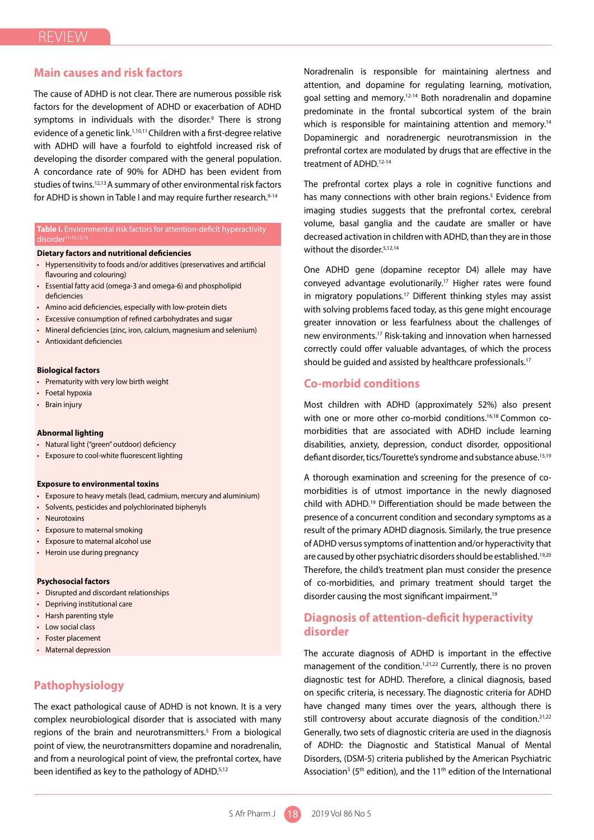## **Main causes and risk factors**

The cause of ADHD is not clear. There are numerous possible risk factors for the development of ADHD or exacerbation of ADHD symptoms in individuals with the disorder.<sup>9</sup> There is strong evidence of a genetic link.<sup>1,10,11</sup> Children with a first-degree relative with ADHD will have a fourfold to eightfold increased risk of developing the disorder compared with the general population. A concordance rate of 90% for ADHD has been evident from studies of twins.<sup>12,13</sup> A summary of other environmental risk factors for ADHD is shown in Table I and may require further research.<sup>9-14</sup>

## **Table I.** Environmental risk factors for attention-deficit hyperactivity

#### **Dietary factors and nutritional deficiencies**

- Hypersensitivity to foods and/or additives (preservatives and artificial flavouring and colouring)
- Essential fatty acid (omega-3 and omega-6) and phospholipid deficiencies
- Amino acid deficiencies, especially with low-protein diets
- Excessive consumption of refined carbohydrates and sugar
- Mineral deficiencies (zinc, iron, calcium, magnesium and selenium)
- Antioxidant deficiencies

#### **Biological factors**

- Prematurity with very low birth weight
- Foetal hypoxia
- Brain injury

#### **Abnormal lighting**

- Natural light ("green" outdoor) deficiency
- Exposure to cool-white fluorescent lighting

#### **Exposure to environmental toxins**

- Exposure to heavy metals (lead, cadmium, mercury and aluminium)
- Solvents, pesticides and polychlorinated biphenyls
- Neurotoxins
- Exposure to maternal smoking
- Exposure to maternal alcohol use
- Heroin use during pregnancy

#### **Psychosocial factors**

- Disrupted and discordant relationships
- Depriving institutional care
- Harsh parenting style
- Low social class
- Foster placement
- Maternal depression

## **Pathophysiology**

The exact pathological cause of ADHD is not known. It is a very complex neurobiological disorder that is associated with many regions of the brain and neurotransmitters.<sup>5</sup> From a biological point of view, the neurotransmitters dopamine and noradrenalin, and from a neurological point of view, the prefrontal cortex, have been identified as key to the pathology of ADHD.<sup>5,12</sup>

Noradrenalin is responsible for maintaining alertness and attention, and dopamine for regulating learning, motivation, goal setting and memory.12-14 Both noradrenalin and dopamine predominate in the frontal subcortical system of the brain which is responsible for maintaining attention and memory.<sup>14</sup> Dopaminergic and noradrenergic neurotransmission in the prefrontal cortex are modulated by drugs that are effective in the treatment of ADHD.<sup>12-14</sup>

The prefrontal cortex plays a role in cognitive functions and has many connections with other brain regions.<sup>5</sup> Evidence from imaging studies suggests that the prefrontal cortex, cerebral volume, basal ganglia and the caudate are smaller or have decreased activation in children with ADHD, than they are in those without the disorder.<sup>5,12,14</sup>

One ADHD gene (dopamine receptor D4) allele may have conveyed advantage evolutionarily.17 Higher rates were found in migratory populations.<sup>17</sup> Different thinking styles may assist with solving problems faced today, as this gene might encourage greater innovation or less fearfulness about the challenges of new environments.17 Risk-taking and innovation when harnessed correctly could offer valuable advantages, of which the process should be quided and assisted by healthcare professionals.<sup>17</sup>

## **Co-morbid conditions**

Most children with ADHD (approximately 52%) also present with one or more other co-morbid conditions.<sup>16,18</sup> Common comorbidities that are associated with ADHD include learning disabilities, anxiety, depression, conduct disorder, oppositional defiant disorder, tics/Tourette's syndrome and substance abuse.15,19

A thorough examination and screening for the presence of comorbidities is of utmost importance in the newly diagnosed child with ADHD.19 Differentiation should be made between the presence of a concurrent condition and secondary symptoms as a result of the primary ADHD diagnosis. Similarly, the true presence of ADHD versus symptoms of inattention and/or hyperactivity that are caused by other psychiatric disorders should be established.19,20 Therefore, the child's treatment plan must consider the presence of co-morbidities, and primary treatment should target the disorder causing the most significant impairment.<sup>19</sup>

## **Diagnosis of attention-deficit hyperactivity disorder**

The accurate diagnosis of ADHD is important in the effective management of the condition.<sup>1,21,22</sup> Currently, there is no proven diagnostic test for ADHD. Therefore, a clinical diagnosis, based on specific criteria, is necessary. The diagnostic criteria for ADHD have changed many times over the years, although there is still controversy about accurate diagnosis of the condition. $2^{1,22}$ Generally, two sets of diagnostic criteria are used in the diagnosis of ADHD: the Diagnostic and Statistical Manual of Mental Disorders, (DSM-5) criteria published by the American Psychiatric Association<sup>3</sup> (5<sup>th</sup> edition), and the 11<sup>th</sup> edition of the International

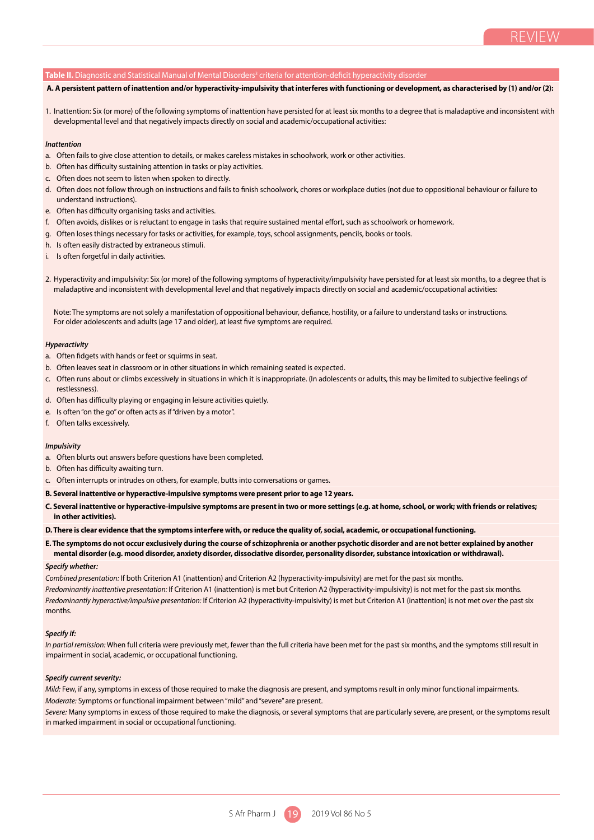#### **Table II.** Diagnostic and Statistical Manual of Mental Disorders<sup>3</sup> criteria for attention-deficit hyperactivity disorder

#### **A. A persistent pattern of inattention and/or hyperactivity-impulsivity that interferes with functioning or development, as characterised by (1) and/or (2):**

1. Inattention: Six (or more) of the following symptoms of inattention have persisted for at least six months to a degree that is maladaptive and inconsistent with developmental level and that negatively impacts directly on social and academic/occupational activities:

#### *Inattention*

- a. Often fails to give close attention to details, or makes careless mistakes in schoolwork, work or other activities.
- b. Often has difficulty sustaining attention in tasks or play activities.
- c. Often does not seem to listen when spoken to directly.
- d. Often does not follow through on instructions and fails to finish schoolwork, chores or workplace duties (not due to oppositional behaviour or failure to understand instructions).
- e. Often has difficulty organising tasks and activities.
- f. Often avoids, dislikes or is reluctant to engage in tasks that require sustained mental effort, such as schoolwork or homework.
- g. Often loses things necessary for tasks or activities, for example, toys, school assignments, pencils, books or tools.
- h. Is often easily distracted by extraneous stimuli.
- i. Is often forgetful in daily activities.
- 2. Hyperactivity and impulsivity: Six (or more) of the following symptoms of hyperactivity/impulsivity have persisted for at least six months, to a degree that is maladaptive and inconsistent with developmental level and that negatively impacts directly on social and academic/occupational activities:

Note: The symptoms are not solely a manifestation of oppositional behaviour, defiance, hostility, or a failure to understand tasks or instructions. For older adolescents and adults (age 17 and older), at least five symptoms are required.

#### *Hyperactivity*

- a. Often fidgets with hands or feet or squirms in seat.
- b. Often leaves seat in classroom or in other situations in which remaining seated is expected.
- c. Often runs about or climbs excessively in situations in which it is inappropriate. (In adolescents or adults, this may be limited to subjective feelings of restlessness).
- d. Often has difficulty playing or engaging in leisure activities quietly.
- e. Is often "on the go" or often acts as if "driven by a motor".
- f. Often talks excessively.

#### *Impulsivity*

- a. Often blurts out answers before questions have been completed.
- b. Often has difficulty awaiting turn.
- c. Often interrupts or intrudes on others, for example, butts into conversations or games.
- **B. Several inattentive or hyperactive-impulsive symptoms were present prior to age 12 years.**
- **C. Several inattentive or hyperactive-impulsive symptoms are present in two or more settings (e.g. at home, school, or work; with friends or relatives; in other activities).**
- **D. There is clear evidence that the symptoms interfere with, or reduce the quality of, social, academic, or occupational functioning.**
- **E. The symptoms do not occur exclusively during the course of schizophrenia or another psychotic disorder and are not better explained by another mental disorder (e.g. mood disorder, anxiety disorder, dissociative disorder, personality disorder, substance intoxication or withdrawal).**

#### *Specify whether:*

*Combined presentation:* If both Criterion A1 (inattention) and Criterion A2 (hyperactivity-impulsivity) are met for the past six months. *Predominantly inattentive presentation:* If Criterion A1 (inattention) is met but Criterion A2 (hyperactivity-impulsivity) is not met for the past six months. *Predominantly hyperactive/impulsive presentation:* If Criterion A2 (hyperactivity-impulsivity) is met but Criterion A1 (inattention) is not met over the past six months.

#### *Specify if:*

*In partial remission:* When full criteria were previously met, fewer than the full criteria have been met for the past six months, and the symptoms still result in impairment in social, academic, or occupational functioning.

#### *Specify current severity:*

*Mild:* Few, if any, symptoms in excess of those required to make the diagnosis are present, and symptoms result in only minor functional impairments. *Moderate:* Symptoms or functional impairment between "mild" and "severe" are present.

*Severe:* Many symptoms in excess of those required to make the diagnosis, or several symptoms that are particularly severe, are present, or the symptoms result in marked impairment in social or occupational functioning.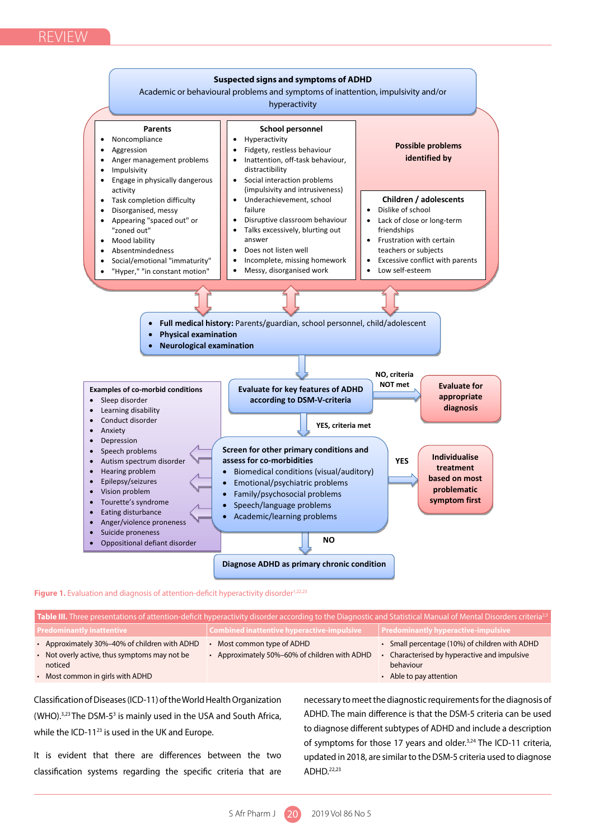

Figure 1. Evaluation and diagnosis of attention-deficit hyperactivity disorder<sup>1,22,23</sup>

| Table III. Three presentations of attention-deficit hyperactivity disorder according to the Diagnostic and Statistical Manual of Mental Disorders criteria <sup>2,3</sup> |                                                                         |                                                                                                         |  |  |  |
|---------------------------------------------------------------------------------------------------------------------------------------------------------------------------|-------------------------------------------------------------------------|---------------------------------------------------------------------------------------------------------|--|--|--|
| <b>Predominantly inattentive</b>                                                                                                                                          | Combined inattentive hyperactive-impulsive                              | <b>Predominantly hyperactive-impulsive</b>                                                              |  |  |  |
| Approximately 30%-40% of children with ADHD<br>• Not overly active, thus symptoms may not be<br>noticed                                                                   | Most common type of ADHD<br>Approximately 50%-60% of children with ADHD | Small percentage (10%) of children with ADHD<br>Characterised by hyperactive and impulsive<br>behaviour |  |  |  |
| • Most common in girls with ADHD                                                                                                                                          |                                                                         | • Able to pay attention                                                                                 |  |  |  |

Classification of Diseases (ICD-11) of the World Health Organization (WHO). $3,23$  The DSM-5<sup>3</sup> is mainly used in the USA and South Africa, while the ICD-11<sup>23</sup> is used in the UK and Europe.

It is evident that there are differences between the two classification systems regarding the specific criteria that are

necessary to meet the diagnostic requirements for the diagnosis of ADHD. The main difference is that the DSM-5 criteria can be used to diagnose different subtypes of ADHD and include a description of symptoms for those 17 years and older.<sup>3,24</sup> The ICD-11 criteria, updated in 2018, are similar to the DSM-5 criteria used to diagnose ADHD.22,23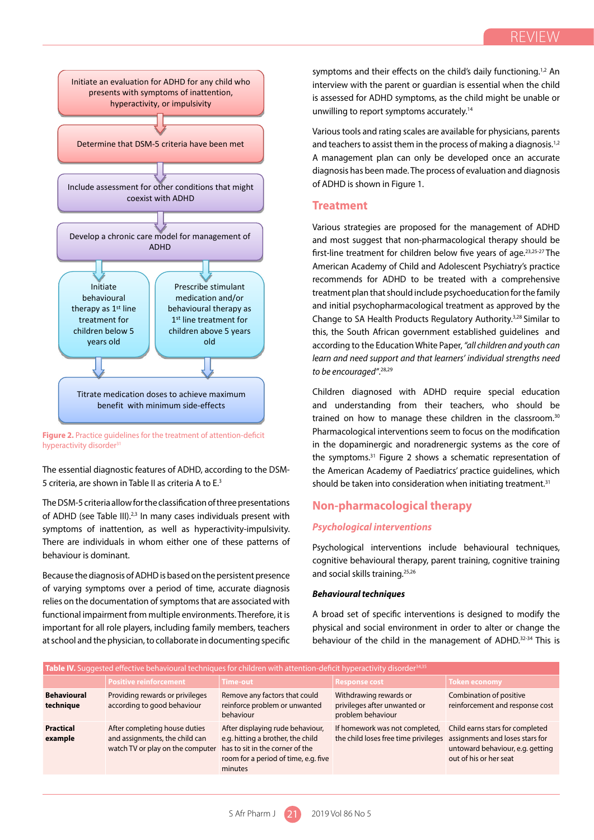

into consideration when initiating treatment.31

hyperactivity disorder<sup>31</sup> **Figure 2.** Practice guidelines for the treatment of attention-deficit

The essential diagnostic features of ADHD, according to the DSM-*Psychological interventions* 5 criteria, are shown in Table II as criteria A to E.<sup>3</sup> expression into consider the should be taken into consid

The DSM-5 criteria allow for the classification of three presentations of ADHD (see Table III).<sup>2,3</sup> In many cases individuals present with symptoms of inattention, as well as hyperactivity-impulsivity. Psychological interventi There are individuals in whom either one of these patterns of behaviour is dominant.

Because the diagnosis of ADHD is based on the persistent presence of varying symptoms over a period of time, accurate diagnosis relies on the documentation of symptoms that are associated with functional impairment from multiple environments. Therefore, it is important for all role players, including family members, teachers at school and the physician, to collaborate in documenting specific Because the diagnosis of ADHD is based on the persistent presence  $\qquad$  and social skills training.  $^{2.52}$ 

symptoms and their effects on the child's daily functioning.<sup>1,2</sup> An interview with the parent or guardian is essential when the child is assessed for ADHD symptoms, as the child might be unable or unwilling to report symptoms accurately.14

Various tools and rating scales are available for physicians, parents and teachers to assist them in the process of making a diagnosis.<sup>1,2</sup> A management plan can only be developed once an accurate diagnosis has been made. The process of evaluation and diagnosis of ADHD is shown in Figure 1.

## **Treatment**

Various strategies are proposed for the management of ADHD and most suggest that non-pharmacological therapy should be first-line treatment for children below five years of age.23,25-27 The American Academy of Child and Adolescent Psychiatry's practice recommends for ADHD to be treated with a comprehensive treatment plan that should include psychoeducation for the family and initial psychopharmacological treatment as approved by the Change to SA Health Products Regulatory Authority.3,28 Similar to this, the South African government established guidelines and according to the Education White Paper, *"all children and youth can learn and need support and that learners' individual strengths need to be encouraged"*. 28,29

Children diagnosed with ADHD require special education and understanding from their teachers, who should be trained on how to manage these children in the classroom.<sup>30</sup> Pharmacological interventions seem to focus on the modification in the dopaminergic and noradrenergic systems as the core of the symptoms.31 Figure 2 shows a schematic representation of the American Academy of Paediatrics' practice guidelines, which should be taken into consideration when initiating treatment.<sup>31</sup>

## **Non-pharmacological therapy**

## *Psychological interventions*

hese patterns of esychological interventions include behavioural techniques, cognitive behavioural therapy, parent training, cognitive training and social skills training.25,26 modifications have not been studied as an individual parameter for experimental parameter for  $\alpha$ 

## *Behavioural techniques*

A broad set of specific interventions is designed to modify the physical and social environment in order to alter or change the behaviour of the child in the management of ADHD.<sup>32-34</sup> This is

| Table IV. Suggested effective behavioural techniques for children with attention-deficit hyperactivity disorder <sup>34,35</sup> |                                                                                                     |                                                                                                                                                             |                                                                             |                                                                                                                                  |  |
|----------------------------------------------------------------------------------------------------------------------------------|-----------------------------------------------------------------------------------------------------|-------------------------------------------------------------------------------------------------------------------------------------------------------------|-----------------------------------------------------------------------------|----------------------------------------------------------------------------------------------------------------------------------|--|
|                                                                                                                                  | Positive reinforcement                                                                              | <b>Time-out</b>                                                                                                                                             | <b>Response cost</b>                                                        | <b>Token economy</b>                                                                                                             |  |
| <b>Behavioural</b><br>technique                                                                                                  | Providing rewards or privileges<br>according to good behaviour                                      | Remove any factors that could<br>reinforce problem or unwanted<br>behaviour                                                                                 | Withdrawing rewards or<br>privileges after unwanted or<br>problem behaviour | Combination of positive<br>reinforcement and response cost                                                                       |  |
| <b>Practical</b><br>example                                                                                                      | After completing house duties<br>and assignments, the child can<br>watch TV or play on the computer | After displaying rude behaviour,<br>e.g. hitting a brother, the child<br>has to sit in the corner of the<br>room for a period of time, e.g. five<br>minutes | If homework was not completed,<br>the child loses free time privileges      | Child earns stars for completed<br>assignments and loses stars for<br>untoward behaviour, e.g. getting<br>out of his or her seat |  |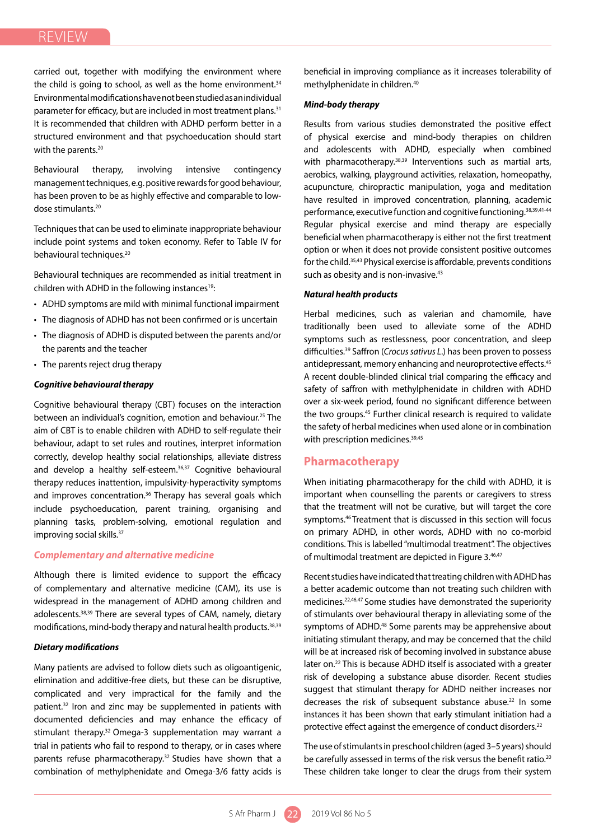carried out, together with modifying the environment where the child is going to school, as well as the home environment. $34$ Environmental modifications have not been studied as an individual parameter for efficacy, but are included in most treatment plans.<sup>31</sup> It is recommended that children with ADHD perform better in a structured environment and that psychoeducation should start with the parents.<sup>20</sup>

Behavioural therapy, involving intensive contingency management techniques, e.g. positive rewards for good behaviour, has been proven to be as highly effective and comparable to lowdose stimulants.20

Techniques that can be used to eliminate inappropriate behaviour include point systems and token economy. Refer to Table IV for behavioural techniques.<sup>20</sup>

Behavioural techniques are recommended as initial treatment in children with ADHD in the following instances<sup>19</sup>:

- ADHD symptoms are mild with minimal functional impairment
- The diagnosis of ADHD has not been confirmed or is uncertain
- The diagnosis of ADHD is disputed between the parents and/or the parents and the teacher
- The parents reject drug therapy

## *Cognitive behavioural therapy*

Cognitive behavioural therapy (CBT) focuses on the interaction between an individual's cognition, emotion and behaviour.25 The aim of CBT is to enable children with ADHD to self-regulate their behaviour, adapt to set rules and routines, interpret information correctly, develop healthy social relationships, alleviate distress and develop a healthy self-esteem.<sup>36,37</sup> Cognitive behavioural therapy reduces inattention, impulsivity-hyperactivity symptoms and improves concentration.<sup>36</sup> Therapy has several goals which include psychoeducation, parent training, organising and planning tasks, problem-solving, emotional regulation and improving social skills.<sup>37</sup>

## *Complementary and alternative medicine*

Although there is limited evidence to support the efficacy of complementary and alternative medicine (CAM), its use is widespread in the management of ADHD among children and adolescents.38,39 There are several types of CAM, namely, dietary modifications, mind-body therapy and natural health products.38,39

#### *Dietary modifications*

Many patients are advised to follow diets such as oligoantigenic, elimination and additive-free diets, but these can be disruptive, complicated and very impractical for the family and the patient.<sup>32</sup> Iron and zinc may be supplemented in patients with documented deficiencies and may enhance the efficacy of stimulant therapy.<sup>32</sup> Omega-3 supplementation may warrant a trial in patients who fail to respond to therapy, or in cases where parents refuse pharmacotherapy.<sup>32</sup> Studies have shown that a combination of methylphenidate and Omega-3/6 fatty acids is

beneficial in improving compliance as it increases tolerability of methylphenidate in children.40

#### *Mind-body therapy*

Results from various studies demonstrated the positive effect of physical exercise and mind-body therapies on children and adolescents with ADHD, especially when combined with pharmacotherapy.<sup>38,39</sup> Interventions such as martial arts, aerobics, walking, playground activities, relaxation, homeopathy, acupuncture, chiropractic manipulation, yoga and meditation have resulted in improved concentration, planning, academic performance, executive function and cognitive functioning.38,39,41-44 Regular physical exercise and mind therapy are especially beneficial when pharmacotherapy is either not the first treatment option or when it does not provide consistent positive outcomes for the child.<sup>35,43</sup> Physical exercise is affordable, prevents conditions such as obesity and is non-invasive.<sup>43</sup>

## *Natural health products*

Herbal medicines, such as valerian and chamomile, have traditionally been used to alleviate some of the ADHD symptoms such as restlessness, poor concentration, and sleep difficulties.39 Saffron (*Crocus sativus L*.) has been proven to possess antidepressant, memory enhancing and neuroprotective effects.<sup>45</sup> A recent double-blinded clinical trial comparing the efficacy and safety of saffron with methylphenidate in children with ADHD over a six-week period, found no significant difference between the two groups.<sup>45</sup> Further clinical research is required to validate the safety of herbal medicines when used alone or in combination with prescription medicines.<sup>39,45</sup>

## **Pharmacotherapy**

When initiating pharmacotherapy for the child with ADHD, it is important when counselling the parents or caregivers to stress that the treatment will not be curative, but will target the core symptoms.<sup>46</sup> Treatment that is discussed in this section will focus on primary ADHD, in other words, ADHD with no co-morbid conditions. This is labelled "multimodal treatment". The objectives of multimodal treatment are depicted in Figure 3.46,47

Recent studies have indicated that treating children with ADHD has a better academic outcome than not treating such children with medicines.22,46,47 Some studies have demonstrated the superiority of stimulants over behavioural therapy in alleviating some of the symptoms of ADHD.<sup>48</sup> Some parents may be apprehensive about initiating stimulant therapy, and may be concerned that the child will be at increased risk of becoming involved in substance abuse later on.<sup>22</sup> This is because ADHD itself is associated with a greater risk of developing a substance abuse disorder. Recent studies suggest that stimulant therapy for ADHD neither increases nor decreases the risk of subsequent substance abuse.<sup>22</sup> In some instances it has been shown that early stimulant initiation had a protective effect against the emergence of conduct disorders.<sup>22</sup>

The use of stimulants in preschool children (aged 3–5 years) should be carefully assessed in terms of the risk versus the benefit ratio.<sup>20</sup> These children take longer to clear the drugs from their system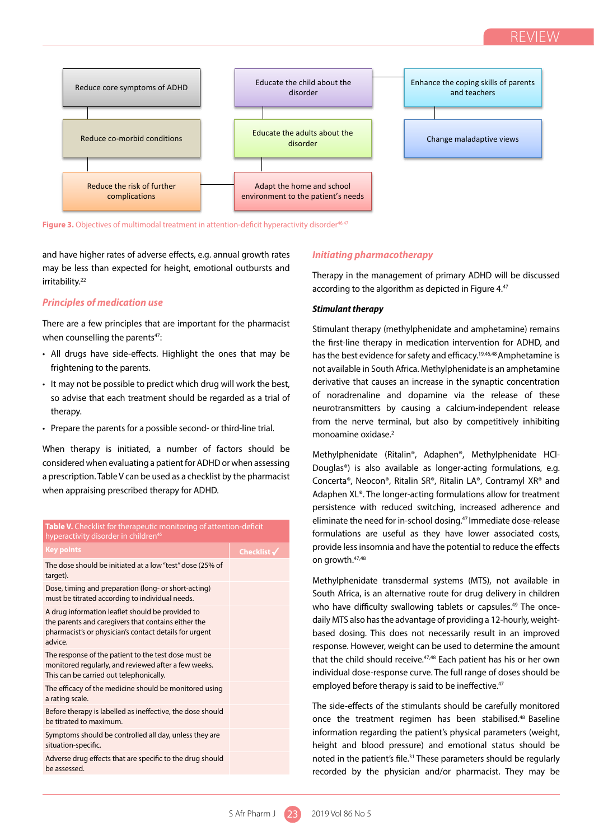

**Figure 3.** Objectives of multimodal treatment in attention-deficit hyperactivity disorder46,47 **Figure 3.** Objectives of multimodal treatment in attention-deficit hyperactivity disorder46,47

and have higher rates of adverse effects, e.g. annual growth rates himitiating pharmacotherapy may be less than expected for height, emotional outbursts and the symptoms of the symptoms of the symptoms of the symptoms of the symptoms of the symptoms of the symptoms of ADHD.48 Some parents may be apprehensive about a irritability.<sup>22</sup>

## *Principles of medication use*

There are a few principles that are important for the pharmacist when counselling the parents $47$ : protective effect against the emergence of conduct disorders.22

- All drugs have side-effects. Highlight the ones that may be frightening to the parents.
- It may not be possible to predict which drug will work the best, so advise that each treatment should be regarded as a trial of solution of noradrenaline and dopam therapy.
- Prepare the parents for a possible second- or third-line trial.

When therapy is initiated, a number of factors should be considered when evaluating a patient for ADHD or when assessing a prescription. Table V can be used as a checklist by the pharmacist when appraising prescribed therapy for ADHD.

| <b>Table V.</b> Checklist for therapeutic monitoring of attention-deficit<br>hyperactivity disorder in children <sup>46</sup>                                                |                        |  |
|------------------------------------------------------------------------------------------------------------------------------------------------------------------------------|------------------------|--|
| <b>Key points</b>                                                                                                                                                            | Checklist $\checkmark$ |  |
| The dose should be initiated at a low "test" dose (25% of<br>target).                                                                                                        |                        |  |
| Dose, timing and preparation (long- or short-acting)<br>must be titrated according to individual needs.                                                                      |                        |  |
| A drug information leaflet should be provided to<br>the parents and caregivers that contains either the<br>pharmacist's or physician's contact details for urgent<br>advice. |                        |  |
| The response of the patient to the test dose must be<br>monitored regularly, and reviewed after a few weeks.<br>This can be carried out telephonically.                      |                        |  |
| The efficacy of the medicine should be monitored using<br>a rating scale.                                                                                                    |                        |  |
| Before therapy is labelled as ineffective, the dose should<br>be titrated to maximum.                                                                                        |                        |  |
| Symptoms should be controlled all day, unless they are<br>situation-specific.                                                                                                |                        |  |
| Adverse drug effects that are specific to the drug should<br>be assessed.                                                                                                    |                        |  |
|                                                                                                                                                                              |                        |  |

## *Initiating pharmacotherapy*

initiative of the management of primary ADHD will be discussed risk of becoming the child will be discussed ri according to the algorithm as depicted in Figure  $4.47$ substance abuse disorder. Recent studies suggest that stimulate the stimulant therapy for ADHD neither increases nor decreases nor decreases nor decreases nor decreases nor decreases nor decreases nor decreases nor decreas

## **dication use.**<br>
Stimulant therapy

 $\frac{1}{2}$  stimulant therapy (methylphenidate and amphetamine) remains the parents<sup>47</sup>. the first-line therapy in medication intervention for ADHD, and the first-line therapy in medication intervention for ADHD, and side-effects. Highlight the ones that may be last the best evidence for safety and efficacy.<sup>19,46,48</sup> Amphetamine is not available in South Africa. Methylphenidate is an amphetamine derivative that causes an increase in the synaptic concentration of noradrenaline and dopamine via the release of these neurotransmitters by causing a calcium-independent release from the nerve terminal, but also by competitively inhibiting monoamine oxidase.2

> Methylphenidate (Ritalin®, Adaphen®, Methylphenidate HCl-Douglas®) is also available as longer-acting formulations, e.g. Concerta®, Neocon®, Ritalin SR®, Ritalin LA®, Contramyl XR® and Adaphen XL®. The longer-acting formulations allow for treatment persistence with reduced switching, increased adherence and eliminate the need for in-school dosing.<sup>47</sup> Immediate dose-release formulations are useful as they have lower associated costs, provide less insomnia and have the potential to reduce the effects on growth.47,48

> Methylphenidate transdermal systems (MTS), not available in South Africa, is an alternative route for drug delivery in children who have difficulty swallowing tablets or capsules.<sup>49</sup> The oncedaily MTS also has the advantage of providing a 12-hourly, weightbased dosing. This does not necessarily result in an improved response. However, weight can be used to determine the amount that the child should receive.<sup>47,48</sup> Each patient has his or her own individual dose-response curve. The full range of doses should be employed before therapy is said to be ineffective.<sup>47</sup>

> The side-effects of the stimulants should be carefully monitored once the treatment regimen has been stabilised.48 Baseline information regarding the patient's physical parameters (weight, height and blood pressure) and emotional status should be noted in the patient's file.<sup>31</sup> These parameters should be regularly recorded by the physician and/or pharmacist. They may be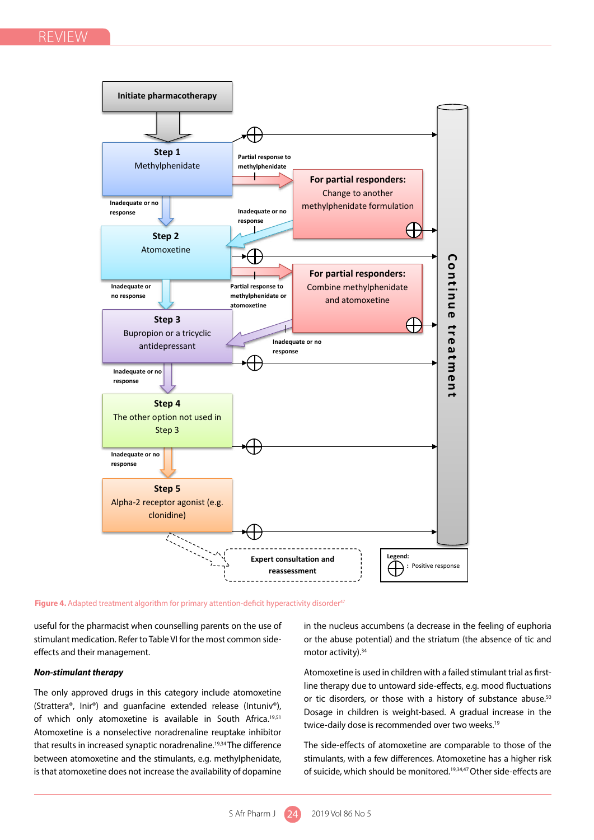REVIEW



**Figure 4.** Adapted treatment algorithm for primary attention-deficit hyperactivity disorder<sup>47</sup>

useful for the pharmacist when counselling parents on the use of stimulant medication. Refer to Table VI for the most common sideeffects and their management.

## *Non-stimulant therapy*

The only approved drugs in this category include atomoxetine (Strattera®, Inir®) and guanfacine extended release (Intuniv®), of which only atomoxetine is available in South Africa.<sup>19,51</sup> Atomoxetine is a nonselective noradrenaline reuptake inhibitor that results in increased synaptic noradrenaline.<sup>19,34</sup> The difference between atomoxetine and the stimulants, e.g. methylphenidate, is that atomoxetine does not increase the availability of dopamine

in the nucleus accumbens (a decrease in the feeling of euphoria or the abuse potential) and the striatum (the absence of tic and motor activity).<sup>34</sup>

Atomoxetine is used in children with a failed stimulant trial as firstline therapy due to untoward side-effects, e.g. mood fluctuations or tic disorders, or those with a history of substance abuse.<sup>50</sup> Dosage in children is weight-based. A gradual increase in the twice-daily dose is recommended over two weeks.<sup>19</sup>

The side-effects of atomoxetine are comparable to those of the stimulants, with a few differences. Atomoxetine has a higher risk of suicide, which should be monitored.<sup>19,34,47</sup> Other side-effects are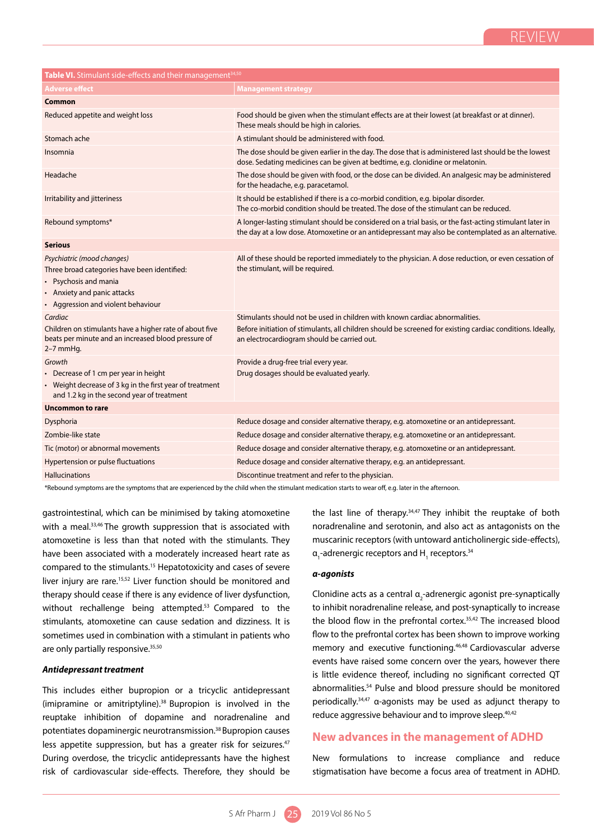| Table VI. Stimulant side-effects and their management <sup>34,50</sup>                                                                                                   |                                                                                                                                                                                                                                          |  |  |  |
|--------------------------------------------------------------------------------------------------------------------------------------------------------------------------|------------------------------------------------------------------------------------------------------------------------------------------------------------------------------------------------------------------------------------------|--|--|--|
| <b>Adverse effect</b>                                                                                                                                                    | <b>Management strategy</b>                                                                                                                                                                                                               |  |  |  |
| Common                                                                                                                                                                   |                                                                                                                                                                                                                                          |  |  |  |
| Reduced appetite and weight loss                                                                                                                                         | Food should be given when the stimulant effects are at their lowest (at breakfast or at dinner).<br>These meals should be high in calories.                                                                                              |  |  |  |
| Stomach ache                                                                                                                                                             | A stimulant should be administered with food.                                                                                                                                                                                            |  |  |  |
| Insomnia                                                                                                                                                                 | The dose should be given earlier in the day. The dose that is administered last should be the lowest<br>dose. Sedating medicines can be given at bedtime, e.g. clonidine or melatonin.                                                   |  |  |  |
| Headache                                                                                                                                                                 | The dose should be given with food, or the dose can be divided. An analgesic may be administered<br>for the headache, e.g. paracetamol.                                                                                                  |  |  |  |
| Irritability and jitteriness                                                                                                                                             | It should be established if there is a co-morbid condition, e.g. bipolar disorder.<br>The co-morbid condition should be treated. The dose of the stimulant can be reduced.                                                               |  |  |  |
| Rebound symptoms*                                                                                                                                                        | A longer-lasting stimulant should be considered on a trial basis, or the fast-acting stimulant later in<br>the day at a low dose. Atomoxetine or an antidepressant may also be contemplated as an alternative.                           |  |  |  |
| <b>Serious</b>                                                                                                                                                           |                                                                                                                                                                                                                                          |  |  |  |
| Psychiatric (mood changes)<br>Three broad categories have been identified:<br>• Psychosis and mania<br>• Anxiety and panic attacks<br>• Aggression and violent behaviour | All of these should be reported immediately to the physician. A dose reduction, or even cessation of<br>the stimulant, will be required.                                                                                                 |  |  |  |
| Cardiac<br>Children on stimulants have a higher rate of about five<br>beats per minute and an increased blood pressure of<br>$2-7$ mmHq.                                 | Stimulants should not be used in children with known cardiac abnormalities.<br>Before initiation of stimulants, all children should be screened for existing cardiac conditions. Ideally,<br>an electrocardiogram should be carried out. |  |  |  |
| Growth<br>• Decrease of 1 cm per year in height<br>• Weight decrease of 3 kg in the first year of treatment<br>and 1.2 kg in the second year of treatment                | Provide a drug-free trial every year.<br>Drug dosages should be evaluated yearly.                                                                                                                                                        |  |  |  |
| <b>Uncommon to rare</b>                                                                                                                                                  |                                                                                                                                                                                                                                          |  |  |  |
| Dysphoria                                                                                                                                                                | Reduce dosage and consider alternative therapy, e.g. atomoxetine or an antidepressant.                                                                                                                                                   |  |  |  |
| Zombie-like state                                                                                                                                                        | Reduce dosage and consider alternative therapy, e.g. atomoxetine or an antidepressant.                                                                                                                                                   |  |  |  |
| Tic (motor) or abnormal movements                                                                                                                                        | Reduce dosage and consider alternative therapy, e.g. atomoxetine or an antidepressant.                                                                                                                                                   |  |  |  |
| Hypertension or pulse fluctuations                                                                                                                                       | Reduce dosage and consider alternative therapy, e.g. an antidepressant.                                                                                                                                                                  |  |  |  |
| <b>Hallucinations</b>                                                                                                                                                    | Discontinue treatment and refer to the physician.                                                                                                                                                                                        |  |  |  |
| t Debound cumptoms are the sumptoms that                                                                                                                                 | child whan the stimulant modication starts to wear off a guidenin the afternoon                                                                                                                                                          |  |  |  |

\*Rebound symptoms are the symptoms that are experienced by the child when the stimulant medication starts to wear off, e.g. later in the afternoon.

gastrointestinal, which can be minimised by taking atomoxetine with a meal.<sup>33,46</sup> The growth suppression that is associated with atomoxetine is less than that noted with the stimulants. They have been associated with a moderately increased heart rate as compared to the stimulants.15 Hepatotoxicity and cases of severe liver injury are rare.<sup>15,52</sup> Liver function should be monitored and therapy should cease if there is any evidence of liver dysfunction, without rechallenge being attempted.<sup>53</sup> Compared to the stimulants, atomoxetine can cause sedation and dizziness. It is sometimes used in combination with a stimulant in patients who are only partially responsive.<sup>35,50</sup>

## *Antidepressant treatment*

This includes either bupropion or a tricyclic antidepressant (imipramine or amitriptyline).38 Bupropion is involved in the reuptake inhibition of dopamine and noradrenaline and potentiates dopaminergic neurotransmission.38 Bupropion causes less appetite suppression, but has a greater risk for seizures.<sup>47</sup> During overdose, the tricyclic antidepressants have the highest risk of cardiovascular side-effects. Therefore, they should be

the last line of therapy.<sup>34,47</sup> They inhibit the reuptake of both noradrenaline and serotonin, and also act as antagonists on the muscarinic receptors (with untoward anticholinergic side-effects),  $a_1$ -adrenergic receptors and H<sub>1</sub> receptors.<sup>34</sup>

#### *α-agonists*

Clonidine acts as a central  $a_2$ -adrenergic agonist pre-synaptically to inhibit noradrenaline release, and post-synaptically to increase the blood flow in the prefrontal cortex.<sup>35,42</sup> The increased blood flow to the prefrontal cortex has been shown to improve working memory and executive functioning.<sup>46,48</sup> Cardiovascular adverse events have raised some concern over the years, however there is little evidence thereof, including no significant corrected QT abnormalities.54 Pulse and blood pressure should be monitored periodically.34,47 α-agonists may be used as adjunct therapy to reduce aggressive behaviour and to improve sleep.<sup>40,42</sup>

## **New advances in the management of ADHD**

New formulations to increase compliance and reduce stigmatisation have become a focus area of treatment in ADHD.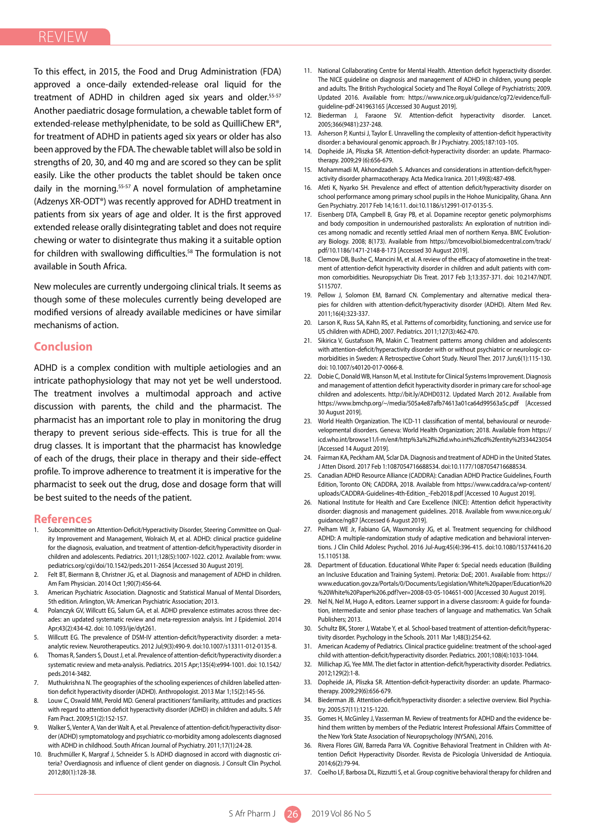To this effect, in 2015, the Food and Drug Administration (FDA) approved a once-daily extended-release oral liquid for the treatment of ADHD in children aged six years and older.<sup>55-57</sup> Another paediatric dosage formulation, a chewable tablet form of extended-release methylphenidate, to be sold as QuilliChew ER®, for treatment of ADHD in patients aged six years or older has also been approved by the FDA. The chewable tablet will also be sold in strengths of 20, 30, and 40 mg and are scored so they can be split easily. Like the other products the tablet should be taken once daily in the morning.<sup>55-57</sup> A novel formulation of amphetamine (Adzenys XR-ODT®) was recently approved for ADHD treatment in patients from six years of age and older. It is the first approved extended release orally disintegrating tablet and does not require chewing or water to disintegrate thus making it a suitable option for children with swallowing difficulties.<sup>58</sup> The formulation is not available in South Africa.

New molecules are currently undergoing clinical trials. It seems as though some of these molecules currently being developed are modified versions of already available medicines or have similar mechanisms of action.

## **Conclusion**

ADHD is a complex condition with multiple aetiologies and an intricate pathophysiology that may not yet be well understood. The treatment involves a multimodal approach and active discussion with parents, the child and the pharmacist. The pharmacist has an important role to play in monitoring the drug therapy to prevent serious side-effects. This is true for all the drug classes. It is important that the pharmacist has knowledge of each of the drugs, their place in therapy and their side-effect profile. To improve adherence to treatment it is imperative for the pharmacist to seek out the drug, dose and dosage form that will be best suited to the needs of the patient.

## **References**

- 1. Subcommittee on Attention-Deficit/Hyperactivity Disorder, Steering Committee on Quality Improvement and Management, Wolraich M, et al. ADHD: clinical practice guideline for the diagnosis, evaluation, and treatment of attention-deficit/hyperactivity disorder in children and adolescents. Pediatrics. 2011;128(5):1007-1022. c2012. Available from: www. pediatrics.org/cgi/doi/10.1542/peds.2011-2654 [Accessed 30 August 2019].
- 2. Felt BT, Biermann B, Christner JG, et al. Diagnosis and management of ADHD in children. Am Fam Physician. 2014 Oct 1;90(7):456-64.
- American Psychiatric Association. Diagnostic and Statistical Manual of Mental Disorders, 5th edition. Arlington, VA: American Psychiatric Association; 2013.
- 4. Polanczyk GV, Willcutt EG, Salum GA, et al. ADHD prevalence estimates across three decades: an updated systematic review and meta-regression analysis. Int J Epidemiol. 2014 Apr;43(2):434-42. doi: 10.1093/ije/dyt261.
- 5. Willcutt EG. The prevalence of DSM-IV attention-deficit/hyperactivity disorder: a metaanalytic review. Neurotherapeutics. 2012 Jul;9(3):490-9. doi:10.1007/s13311-012-0135-8.
- 6. Thomas R, Sanders S, Doust J, et al. Prevalence of attention-deficit/hyperactivity disorder: a systematic review and meta-analysis. Pediatrics. 2015 Apr;135(4):e994-1001. doi: 10.1542/ peds.2014-3482.
- 7. Muthukrishna N. The geographies of the schooling experiences of children labelled attention deficit hyperactivity disorder (ADHD). Anthropologist. 2013 Mar 1;15(2):145-56.
- 8. Louw C, Oswald MM, Perold MD. General practitioners' familiarity, attitudes and practices with regard to attention deficit hyperactivity disorder (ADHD) in children and adults. S Afr Fam Pract. 2009;51(2):152-157.
- Walker S, Venter A, Van der Walt A, et al. Prevalence of attention-deficit/hyperactivity disorder (ADHD) symptomatology and psychiatric co-morbidity among adolescents diagnosed with ADHD in childhood. South African Journal of Psychiatry. 2011;17(1):24-28.
- 10. Bruchmüller K, Margraf J, Schneider S. Is ADHD diagnosed in accord with diagnostic criteria? Overdiagnosis and influence of client gender on diagnosis. J Consult Clin Psychol. 2012;80(1):128-38.
- 11. National Collaborating Centre for Mental Health. Attention deficit hyperactivity disorder. The NICE guideline on diagnosis and management of ADHD in children, young people and adults. The British Psychological Society and The Royal College of Psychiatrists; 2009. Updated 2016. Available from: https://www.nice.org.uk/guidance/cg72/evidence/fullguideline-pdf-241963165 [Accessed 30 August 2019].
- 12. Biederman J, Faraone SV. Attention-deficit hyperactivity disorder. Lancet. 2005;366(9481):237-248.
- 13. Asherson P, Kuntsi J, Taylor E. Unravelling the complexity of attention-deficit hyperactivity disorder: a behavioural genomic approach. Br J Psychiatry. 2005;187:103-105.
- 14. Dopheide JA, Pliszka SR. Attention-deficit-hyperactivity disorder: an update. Pharmacotherapy. 2009;29 (6):656-679.
- 15. Mohammadi M, Akhondzadeh S. Advances and considerations in attention-deficit/hyperactivity disorder pharmacotherapy. Acta Medica Iranica. 2011;49(8):487-498.
- 16. Afeti K, Nyarko SH. Prevalence and effect of attention deficit/hyperactivity disorder on school performance among primary school pupils in the Hohoe Municipality, Ghana. Ann Gen Psychiatry. 2017 Feb 14;16:11. doi:10.1186/s12991-017-0135-5.
- 17. Eisenberg DTA, Campbell B, Gray PB, et al. Dopamine receptor genetic polymorphisms and body composition in undernourished pastoralists: An exploration of nutrition indices among nomadic and recently settled Ariaal men of northern Kenya. BMC Evolutionary Biology. 2008; 8(173). Available from https://bmcevolbiol.biomedcentral.com/track/ pdf/10.1186/1471-2148-8-173 [Accessed 30 August 2019].
- 18. Clemow DB, Bushe C, Mancini M, et al. A review of the efficacy of atomoxetine in the treatment of attention-deficit hyperactivity disorder in children and adult patients with common comorbidities. Neuropsychiatr Dis Treat. 2017 Feb 3;13:357-371. doi: 10.2147/NDT. S115707.
- 19. Pellow J, Solomon EM, Barnard CN. Complementary and alternative medical therapies for children with attention-deficit/hyperactivity disorder (ADHD). Altern Med Rev. 2011;16(4):323-337.
- 20. Larson K, Russ SA, Kahn RS, et al. Patterns of comorbidity, functioning, and service use for US children with ADHD, 2007. Pediatrics. 2011;127(3):462-470.
- 21. Sikirica V, Gustafsson PA, Makin C. Treatment patterns among children and adolescents with attention-deficit/hyperactivity disorder with or without psychiatric or neurologic comorbidities in Sweden: A Retrospective Cohort Study. Neurol Ther. 2017 Jun;6(1):115-130. doi: 10.1007/s40120-017-0066-8.
- 22. Dobie C, Donald WB, Hanson M, et al. Institute for Clinical Systems Improvement. Diagnosis and management of attention deficit hyperactivity disorder in primary care for school-age children and adolescents. http://bit.ly/ADHD0312. Updated March 2012. Available from https://www.bmchp.org/~/media/505a4e87afb74613a01ca64d99563a5c.pdf [Accessed 30 August 2019].
- 23. World Health Organization. The ICD-11 classification of mental, behavioural or neurodevelopmental disorders. Geneva: World Health Organization; 2018. Available from https:// icd.who.int/browse11/l-m/en#/http%3a%2f%2fid.who.int%2ficd%2fentity%2f334423054 [Accessed 14 August 2019].
- 24. Fairman KA, Peckham AM, Sclar DA. Diagnosis and treatment of ADHD in the United States. J Atten Disord. 2017 Feb 1:1087054716688534. doi:10.1177/1087054716688534.
- 25. Canadian ADHD Resource Alliance (CADDRA): Canadian ADHD Practice Guidelines, Fourth Edition, Toronto ON; CADDRA, 2018. Available from https://www.caddra.ca/wp-content/ uploads/CADDRA-Guidelines-4th-Edition\_-Feb2018.pdf [Accessed 10 August 2019].
- 26. National Institute for Health and Care Excellence (NICE): Attention deficit hyperactivity disorder: diagnosis and management guidelines. 2018. Available from www.nice.org.uk/ guidance/ng87 [Accessed 6 August 2019].
- 27. Pelham WE Jr, Fabiano GA, Waxmonsky JG, et al. Treatment sequencing for childhood ADHD: A multiple-randomization study of adaptive medication and behavioral interventions. J Clin Child Adolesc Psychol. 2016 Jul-Aug;45(4):396-415. doi:10.1080/15374416.20 15.1105138.
- 28. Department of Education. Educational White Paper 6: Special needs education (Building an Inclusive Education and Training System). Pretoria: DoE; 2001. Available from: https:// www.education.gov.za/Portals/0/Documents/Legislation/White%20paper/Education%20 %20White%20Paper%206.pdf?ver=2008-03-05-104651-000 [Accessed 30 August 2019].
- 29. Nel N, Nel M, Hugo A, editors. Learner support in a diverse classroom: A guide for foundation, intermediate and senior phase teachers of language and mathematics. Van Schaik Publishers; 2013.
- 30. Schultz BK, Storer J, Watabe Y, et al. School‐based treatment of attention‐deficit/hyperactivity disorder. Psychology in the Schools. 2011 Mar 1;48(3):254-62.
- 31. American Academy of Pediatrics. Clinical practice guideline: treatment of the school-aged child with attention-deficit/hyperactivity disorder. Pediatrics. 2001;108(4):1033-1044.
- 32. Millichap JG, Yee MM. The diet factor in attention-deficit/hyperactivity disorder. Pediatrics. 2012;129(2):1-8.
- 33. Dopheide JA, Pliszka SR. Attention-deficit-hyperactivity disorder: an update. Pharmacotherapy. 2009;29(6):656-679.
- 34. Biederman JB. Attention-deficit/hyperactivity disorder: a selective overview. Biol Psychiatry. 2005;57(11):1215-1220.
- 35. Gomes H, McGinley J, Vasserman M. Review of treatments for ADHD and the evidence behind them written by members of the Pediatric Interest Professional Affairs Committee of the New York State Association of Neuropsychology (NYSAN), 2016.
- 36. Rivera Flores GW, Barreda Parra VA. Cognitive Behavioral Treatment in Children with Attention Deficit Hyperactivity Disorder. Revista de Psicología Universidad de Antioquia. 2014;6(2):79-94.
- 37. Coelho LF, Barbosa DL, Rizzutti S, et al. Group cognitive behavioral therapy for children and